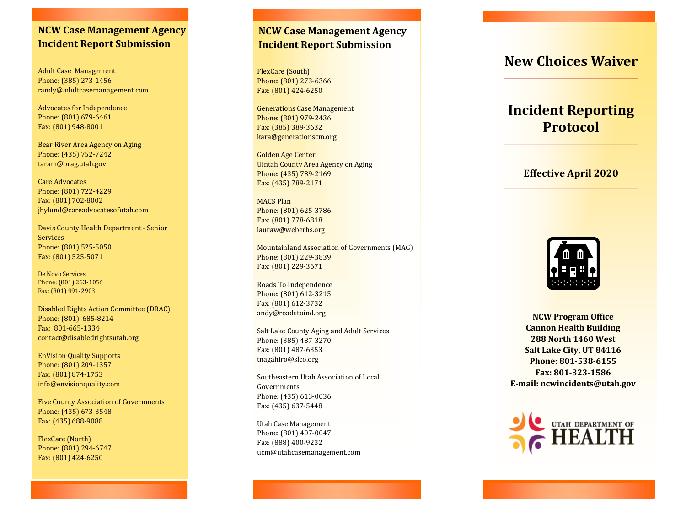# **NCW Case Management Agency Incident Report Submission**

Adult Case Management Phone: (385) 273 -1456 randy@adultcasemanagement.com

Advocates for Independence Phone: (801) 679 -6461 Fax: (801) 948 -8001

Bear River Area Agency on Aging Phone: (435) 752 -7242 taram@brag.utah.gov

Care Advocates Phone: (801) 722 -4229 Fax: (801) 702 -8002 jbylund@careadvocatesofutah.com

Davis County Health Department - Senior Services Phone: (801) 525 -5050 Fax: (801) 525 -5071

De Novo Services Phone: (801) 263 -1056 Fax: (801) 991 -2903

Disabled Rights Action Committee (DRAC) Phone: (801) 685 -8214 Fax: 801 -665 -1334 contact@disabledrightsutah.org

EnVision Quality Supports Phone: (801) 209 -1357 Fax: (801) 874 -1753 info@envisionquality.com

Five County Association of Governments Phone: (435) 673 -3548 Fax: (435) 688 -9088

FlexCare (North) Phone: (801) 294 -6747 Fax: (801) 424 -6250

## **NCW Case Management Agency Incident Report Submission**

FlexCare (South) Phone: (801) 273 -6366 Fax: (801) 424 -6250

Generations Case Management Phone: (801) 979 -2436 Fax: (385) 389 -3632 kara@generationscm.org

Golden Age Center Uintah County Area Agency on Aging Phone: (435) 789 -2169 Fax: (435) 789 -2171

MACS Plan Phone: (801) 625 -3786 Fax: (801) 778 -6818 lauraw@weberhs.org

Mountainland Association of Governments (MAG) Phone: (801) 229 -3839 Fax: (801) 229 -3671

Roads To Independence Phone: (801) 612 -3215 Fax: (801) 612 -3732 andy@roadstoind.org

Salt Lake County Aging and Adult Services Phone: (385) 487 -3270 Fax: (801) 487 -6353 tnagahiro@slco.org

Southeastern Utah Association of Local Governments Phone: (435) 613 -0036 Fax: (435) 637 -5448

Utah Case Management Phone: (801) 407 -0047 Fax: (888) 400 -9232 ucm@utahcasemanagement.com

# **New Choices Waiver**

# **Incident Reporting Protocol**

### **Effective April 2020**



**NCW Program Office Cannon Health Building 288 North 1460 West Salt Lake City, UT 84116 Phone: 801 -538 -6155 Fax: 801 -323 -1586 E -mail: ncwincidents@utah.gov**